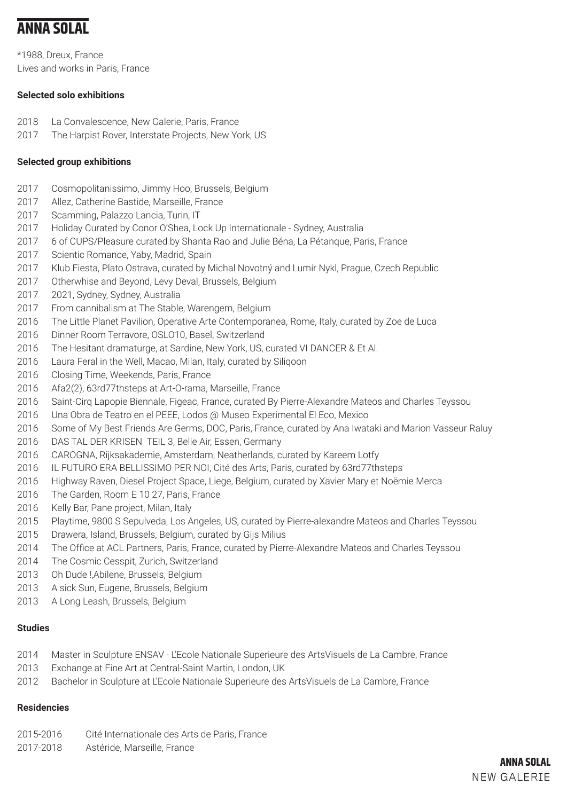# **ANNA SOLAL**

\*1988, Dreux, France Lives and works in Paris, France

# **Selected solo exhibitions**

- La Convalescence, New Galerie, Paris, France
- The Harpist Rover, Interstate Projects, New York, US

## **Selected group exhibitions**

- Cosmopolitanissimo, Jimmy Hoo, Brussels, Belgium
- Allez, Catherine Bastide, Marseille, France
- Scamming, Palazzo Lancia, Turin, IT
- Holiday Curated by Conor O'Shea, Lock Up Internationale Sydney, Australia
- 6 of CUPS/Pleasure curated by Shanta Rao and Julie Béna, La Pétanque, Paris, France
- Scientic Romance, Yaby, Madrid, Spain
- Klub Fiesta, Plato Ostrava, curated by Michal Novotný and Lumír Nykl, Prague, Czech Republic
- Otherwhise and Beyond, Levy Deval, Brussels, Belgium
- 2021, Sydney, Sydney, Australia
- From cannibalism at The Stable, Warengem, Belgium
- The Little Planet Pavilion, Operative Arte Contemporanea, Rome, Italy, curated by Zoe de Luca
- Dinner Room Terravore, OSLO10, Basel, Switzerland
- The Hesitant dramaturge, at Sardine, New York, US, curated VI DANCER & Et Al.
- Laura Feral in the Well, Macao, Milan, Italy, curated by Siliqoon
- Closing Time, Weekends, Paris, France
- Afa2(2), 63rd77thsteps at Art-O-rama, Marseille, France
- Saint-Cirq Lapopie Biennale, Figeac, France, curated By Pierre-Alexandre Mateos and Charles Teyssou
- Una Obra de Teatro en el PEEE, Lodos @ Museo Experimental El Eco, Mexico
- Some of My Best Friends Are Germs, DOC, Paris, France, curated by Ana Iwataki and Marion Vasseur Raluy
- DAS TAL DER KRISEN TEIL 3, Belle Air, Essen, Germany
- CAROGNA, Rijksakademie, Amsterdam, Neatherlands, curated by Kareem Lotfy
- IL FUTURO ERA BELLISSIMO PER NOI, Cité des Arts, Paris, curated by 63rd77thsteps
- Highway Raven, Diesel Project Space, Liege, Belgium, curated by Xavier Mary et Noëmie Merca
- The Garden, Room E 10 27, Paris, France
- Kelly Bar, Pane project, Milan, Italy
- Playtime, 9800 S Sepulveda, Los Angeles, US, curated by Pierre-alexandre Mateos and Charles Teyssou
- Drawera, Island, Brussels, Belgium, curated by Gijs Milius
- 2014 The Office at ACL Partners, Paris, France, curated by Pierre-Alexandre Mateos and Charles Teyssou
- The Cosmic Cesspit, Zurich, Switzerland
- Oh Dude !,Abilene, Brussels, Belgium
- A sick Sun, Eugene, Brussels, Belgium
- A Long Leash, Brussels, Belgium

# **Studies**

- Master in Sculpture ENSAV L'Ecole Nationale Superieure des ArtsVisuels de La Cambre, France
- Exchange at Fine Art at Central-Saint Martin, London, UK
- 2012 Bachelor in Sculpture at L'Ecole Nationale Superieure des ArtsVisuels de La Cambre, France

#### **Residencies**

| 2015-2016 | Cité Internationale des Arts de Paris, France |
|-----------|-----------------------------------------------|
| 2017-2018 | Astéride, Marseille, France                   |